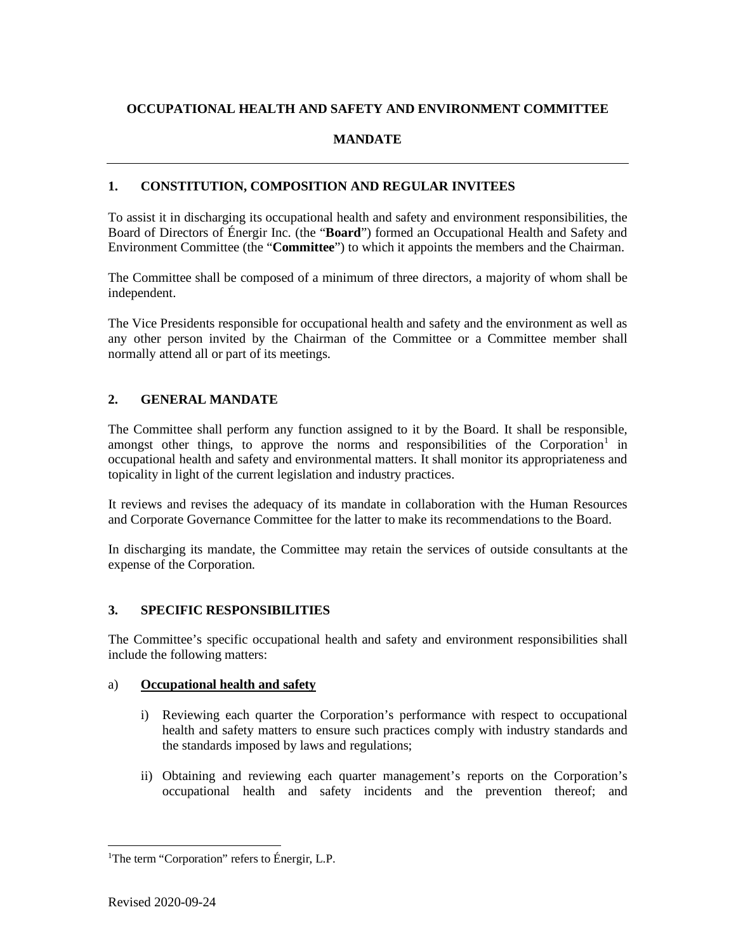# **OCCUPATIONAL HEALTH AND SAFETY AND ENVIRONMENT COMMITTEE**

## **MANDATE**

## **1. CONSTITUTION, COMPOSITION AND REGULAR INVITEES**

To assist it in discharging its occupational health and safety and environment responsibilities, the Board of Directors of Énergir Inc. (the "**Board**") formed an Occupational Health and Safety and Environment Committee (the "**Committee**") to which it appoints the members and the Chairman.

The Committee shall be composed of a minimum of three directors, a majority of whom shall be independent.

The Vice Presidents responsible for occupational health and safety and the environment as well as any other person invited by the Chairman of the Committee or a Committee member shall normally attend all or part of its meetings.

## **2. GENERAL MANDATE**

The Committee shall perform any function assigned to it by the Board. It shall be responsible, amongst other things, to approve the norms and responsibilities of the Corporation<sup>[1](#page-0-0)</sup> in occupational health and safety and environmental matters. It shall monitor its appropriateness and topicality in light of the current legislation and industry practices.

It reviews and revises the adequacy of its mandate in collaboration with the Human Resources and Corporate Governance Committee for the latter to make its recommendations to the Board.

In discharging its mandate, the Committee may retain the services of outside consultants at the expense of the Corporation.

### **3. SPECIFIC RESPONSIBILITIES**

The Committee's specific occupational health and safety and environment responsibilities shall include the following matters:

### a) **Occupational health and safety**

- i) Reviewing each quarter the Corporation's performance with respect to occupational health and safety matters to ensure such practices comply with industry standards and the standards imposed by laws and regulations;
- ii) Obtaining and reviewing each quarter management's reports on the Corporation's occupational health and safety incidents and the prevention thereof; and

<span id="page-0-0"></span><sup>&</sup>lt;sup>1</sup>The term "Corporation" refers to Énergir, L.P.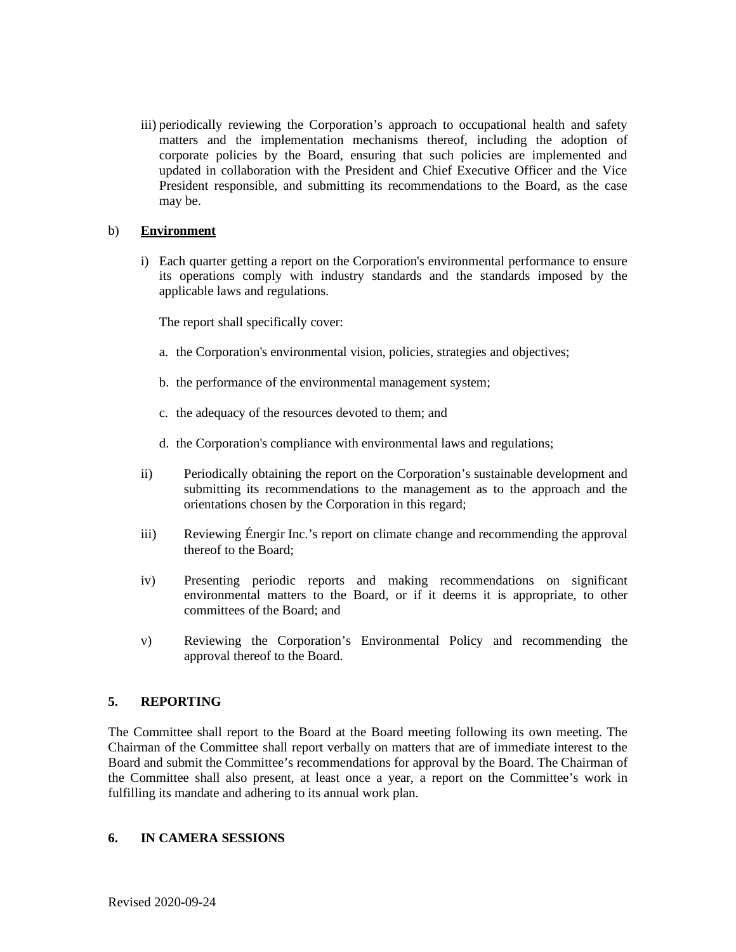iii) periodically reviewing the Corporation's approach to occupational health and safety matters and the implementation mechanisms thereof, including the adoption of corporate policies by the Board, ensuring that such policies are implemented and updated in collaboration with the President and Chief Executive Officer and the Vice President responsible, and submitting its recommendations to the Board, as the case may be.

#### b) **Environment**

i) Each quarter getting a report on the Corporation's environmental performance to ensure its operations comply with industry standards and the standards imposed by the applicable laws and regulations.

The report shall specifically cover:

- a. the Corporation's environmental vision, policies, strategies and objectives;
- b. the performance of the environmental management system;
- c. the adequacy of the resources devoted to them; and
- d. the Corporation's compliance with environmental laws and regulations;
- ii) Periodically obtaining the report on the Corporation's sustainable development and submitting its recommendations to the management as to the approach and the orientations chosen by the Corporation in this regard;
- iii) Reviewing Énergir Inc.'s report on climate change and recommending the approval thereof to the Board;
- iv) Presenting periodic reports and making recommendations on significant environmental matters to the Board, or if it deems it is appropriate, to other committees of the Board; and
- v) Reviewing the Corporation's Environmental Policy and recommending the approval thereof to the Board.

### **5. REPORTING**

The Committee shall report to the Board at the Board meeting following its own meeting. The Chairman of the Committee shall report verbally on matters that are of immediate interest to the Board and submit the Committee's recommendations for approval by the Board. The Chairman of the Committee shall also present, at least once a year, a report on the Committee's work in fulfilling its mandate and adhering to its annual work plan.

#### **6. IN CAMERA SESSIONS**